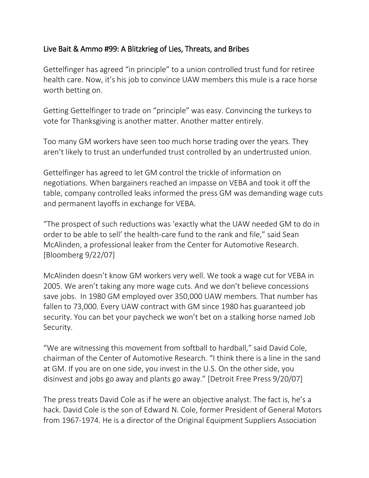## Live Bait & Ammo #99: A Blitzkrieg of Lies, Threats, and Bribes

Gettelfinger has agreed "in principle" to a union controlled trust fund for retiree health care. Now, it's his job to convince UAW members this mule is a race horse worth betting on.

Getting Gettelfinger to trade on "principle" was easy. Convincing the turkeys to vote for Thanksgiving is another matter. Another matter entirely.

Too many GM workers have seen too much horse trading over the years. They aren't likely to trust an underfunded trust controlled by an undertrusted union.

Gettelfinger has agreed to let GM control the trickle of information on negotiations. When bargainers reached an impasse on VEBA and took it off the table, company controlled leaks informed the press GM was demanding wage cuts and permanent layoffs in exchange for VEBA.

"The prospect of such reductions was 'exactly what the UAW needed GM to do in order to be able to sell' the health-care fund to the rank and file," said Sean McAlinden, a professional leaker from the Center for Automotive Research. [Bloomberg 9/22/07]

McAlinden doesn't know GM workers very well. We took a wage cut for VEBA in 2005. We aren't taking any more wage cuts. And we don't believe concessions save jobs. In 1980 GM employed over 350,000 UAW members. That number has fallen to 73,000. Every UAW contract with GM since 1980 has guaranteed job security. You can bet your paycheck we won't bet on a stalking horse named Job Security.

"We are witnessing this movement from softball to hardball," said David Cole, chairman of the Center of Automotive Research. "I think there is a line in the sand at GM. If you are on one side, you invest in the U.S. On the other side, you disinvest and jobs go away and plants go away." [Detroit Free Press 9/20/07]

The press treats David Cole as if he were an objective analyst. The fact is, he's a hack. David Cole is the son of Edward N. Cole, former President of General Motors from 1967-1974. He is a director of the Original Equipment Suppliers Association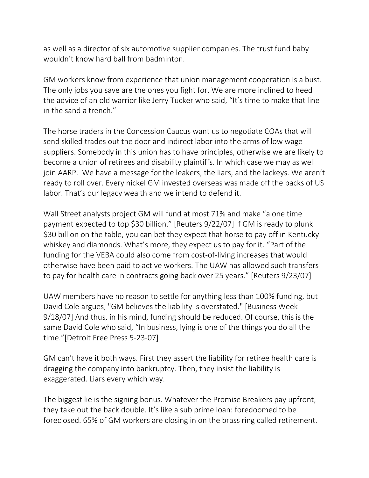as well as a director of six automotive supplier companies. The trust fund baby wouldn't know hard ball from badminton.

GM workers know from experience that union management cooperation is a bust. The only jobs you save are the ones you fight for. We are more inclined to heed the advice of an old warrior like Jerry Tucker who said, "It's time to make that line in the sand a trench."

The horse traders in the Concession Caucus want us to negotiate COAs that will send skilled trades out the door and indirect labor into the arms of low wage suppliers. Somebody in this union has to have principles, otherwise we are likely to become a union of retirees and disability plaintiffs. In which case we may as well join AARP. We have a message for the leakers, the liars, and the lackeys. We aren't ready to roll over. Every nickel GM invested overseas was made off the backs of US labor. That's our legacy wealth and we intend to defend it.

Wall Street analysts project GM will fund at most 71% and make "a one time payment expected to top \$30 billion." [Reuters 9/22/07] If GM is ready to plunk \$30 billion on the table, you can bet they expect that horse to pay off in Kentucky whiskey and diamonds. What's more, they expect us to pay for it. "Part of the funding for the VEBA could also come from cost-of-living increases that would otherwise have been paid to active workers. The UAW has allowed such transfers to pay for health care in contracts going back over 25 years." [Reuters 9/23/07]

UAW members have no reason to settle for anything less than 100% funding, but David Cole argues, "GM believes the liability is overstated." [Business Week 9/18/07] And thus, in his mind, funding should be reduced. Of course, this is the same David Cole who said, "In business, lying is one of the things you do all the time."[Detroit Free Press 5-23-07]

GM can't have it both ways. First they assert the liability for retiree health care is dragging the company into bankruptcy. Then, they insist the liability is exaggerated. Liars every which way.

The biggest lie is the signing bonus. Whatever the Promise Breakers pay upfront, they take out the back double. It's like a sub prime loan: foredoomed to be foreclosed. 65% of GM workers are closing in on the brass ring called retirement.